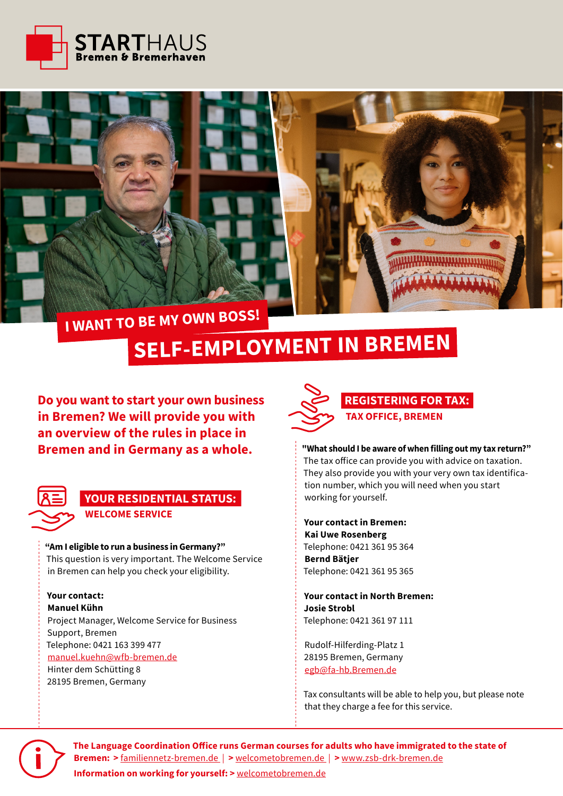



## **I WANT TO BE MY OWN BOSS!**

# **SELF-EMPLOYMENT IN BREMEN**

**Do you want to start your own business REGISTERING FOR TAX: in Bremen? We will provide you with an overview of the rules in place in Bremen and in Germany as a whole.** 



## **WELCOME SERVICE YOUR RESIDENTIAL STATUS:**

### **"Am I eligible to run a business in Germany?"**

This question is very important. The Welcome Service in Bremen can help you check your eligibility.

#### **Your contact: Manuel Kühn**

Project Manager, Welcome Service for Business Support, Bremen Telephone: 0421 163 399 477 [manuel.kuehn@wfb-bremen.de](mailto:manuel.kuehn%40wfb-bremen.de?subject=) Hinter dem Schütting 8 28195 Bremen, Germany



**"What should I be aware of when filling out my tax return?"** The tax office can provide you with advice on taxation. They also provide you with your very own tax identification number, which you will need when you start working for yourself.

**Your contact in Bremen: Kai Uwe Rosenberg** Telephone: 0421 361 95 364 **Bernd Bätjer** Telephone: 0421 361 95 365

**Your contact in North Bremen: Josie Strobl** Telephone: 0421 361 97 111

Rudolf-Hilferding-Platz 1 28195 Bremen, Germany [egb@fa-hb.Bremen.de](mailto:egb%40fa-hb.Bremen.de?subject=)

Tax consultants will be able to help you, but please note that they charge a fee for this service.



**The Language Coordination Office runs German courses for adults who have immigrated to the state of Bremen: >** [familiennetz-bremen.de](https://familiennetz-bremen.de/veranstaltungen/koordinationsstelle-sprache-des-landes-bremen/%20) | **>** [welcometobremen.de](https://welcometobremen.de/angebot/angebotscat/deutschkurse/%20) | **>** [www.zsb-drk-bremen.de](https://www.zsb-drk-bremen.de/koordinationsstelle-sprache/%20) **Information on working for yourself: >** [welcometobremen.de](https://welcometobremen.de/angebot/angebotscat/selbststaendigkeit/)